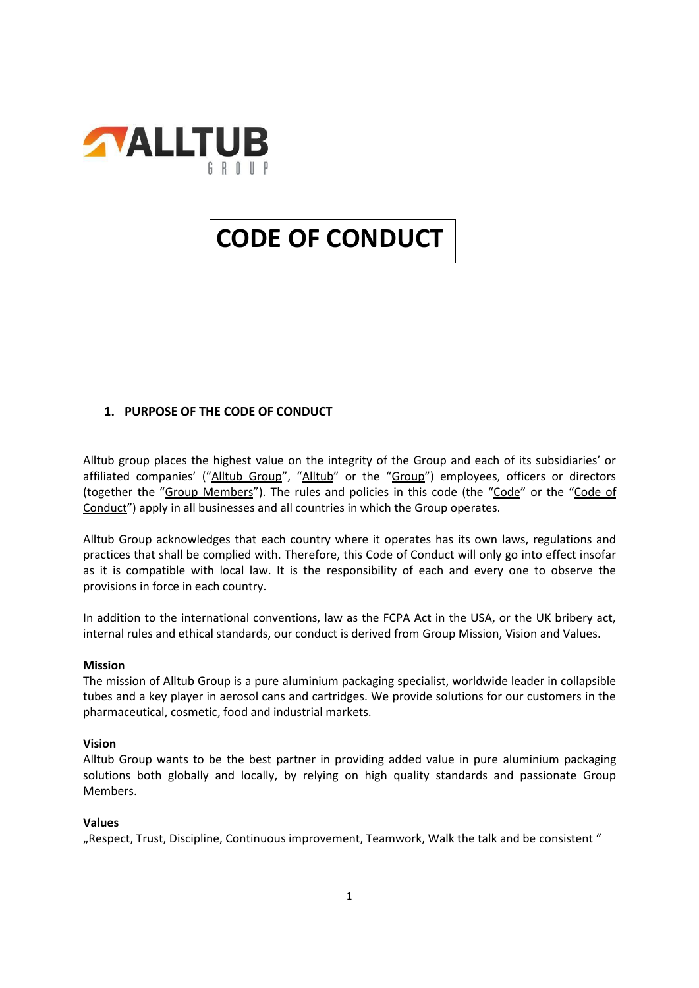

# **CODE OF CONDUCT**

# **1. PURPOSE OF THE CODE OF CONDUCT**

Alltub group places the highest value on the integrity of the Group and each of its subsidiaries' or affiliated companies' ("Alltub Group", "Alltub" or the "Group") employees, officers or directors (together the "Group Members"). The rules and policies in this code (the "Code" or the "Code of Conduct") apply in all businesses and all countries in which the Group operates.

Alltub Group acknowledges that each country where it operates has its own laws, regulations and practices that shall be complied with. Therefore, this Code of Conduct will only go into effect insofar as it is compatible with local law. It is the responsibility of each and every one to observe the provisions in force in each country.

In addition to the international conventions, law as the FCPA Act in the USA, or the UK bribery act, internal rules and ethical standards, our conduct is derived from Group Mission, Vision and Values.

## **Mission**

The mission of Alltub Group is a pure aluminium packaging specialist, worldwide leader in collapsible tubes and a key player in aerosol cans and cartridges. We provide solutions for our customers in the pharmaceutical, cosmetic, food and industrial markets.

## **Vision**

Alltub Group wants to be the best partner in providing added value in pure aluminium packaging solutions both globally and locally, by relying on high quality standards and passionate Group Members.

## **Values**

"Respect, Trust, Discipline, Continuous improvement, Teamwork, Walk the talk and be consistent "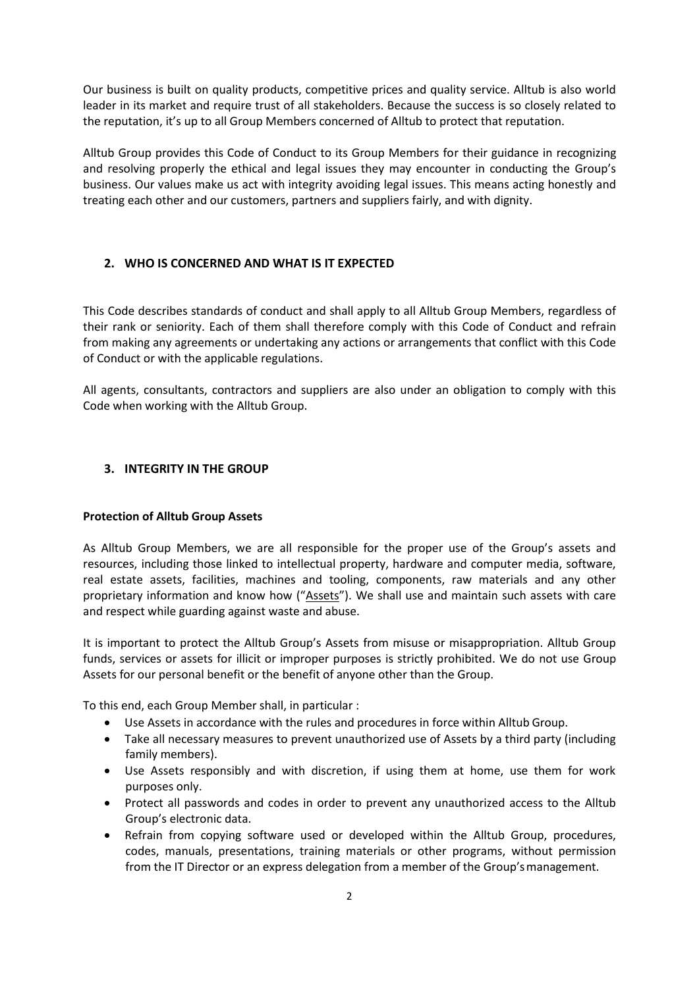Our business is built on quality products, competitive prices and quality service. Alltub is also world leader in its market and require trust of all stakeholders. Because the success is so closely related to the reputation, it's up to all Group Members concerned of Alltub to protect that reputation.

Alltub Group provides this Code of Conduct to its Group Members for their guidance in recognizing and resolving properly the ethical and legal issues they may encounter in conducting the Group's business. Our values make us act with integrity avoiding legal issues. This means acting honestly and treating each other and our customers, partners and suppliers fairly, and with dignity.

# **2. WHO IS CONCERNED AND WHAT IS IT EXPECTED**

This Code describes standards of conduct and shall apply to all Alltub Group Members, regardless of their rank or seniority. Each of them shall therefore comply with this Code of Conduct and refrain from making any agreements or undertaking any actions or arrangements that conflict with this Code of Conduct or with the applicable regulations.

All agents, consultants, contractors and suppliers are also under an obligation to comply with this Code when working with the Alltub Group.

# **3. INTEGRITY IN THE GROUP**

## **Protection of Alltub Group Assets**

As Alltub Group Members, we are all responsible for the proper use of the Group's assets and resources, including those linked to intellectual property, hardware and computer media, software, real estate assets, facilities, machines and tooling, components, raw materials and any other proprietary information and know how ("Assets"). We shall use and maintain such assets with care and respect while guarding against waste and abuse.

It is important to protect the Alltub Group's Assets from misuse or misappropriation. Alltub Group funds, services or assets for illicit or improper purposes is strictly prohibited. We do not use Group Assets for our personal benefit or the benefit of anyone other than the Group.

To this end, each Group Member shall, in particular :

- Use Assets in accordance with the rules and procedures in force within Alltub Group.
- Take all necessary measures to prevent unauthorized use of Assets by a third party (including family members).
- Use Assets responsibly and with discretion, if using them at home, use them for work purposes only.
- Protect all passwords and codes in order to prevent any unauthorized access to the Alltub Group's electronic data.
- Refrain from copying software used or developed within the Alltub Group, procedures, codes, manuals, presentations, training materials or other programs, without permission from the IT Director or an express delegation from a member of the Group'smanagement.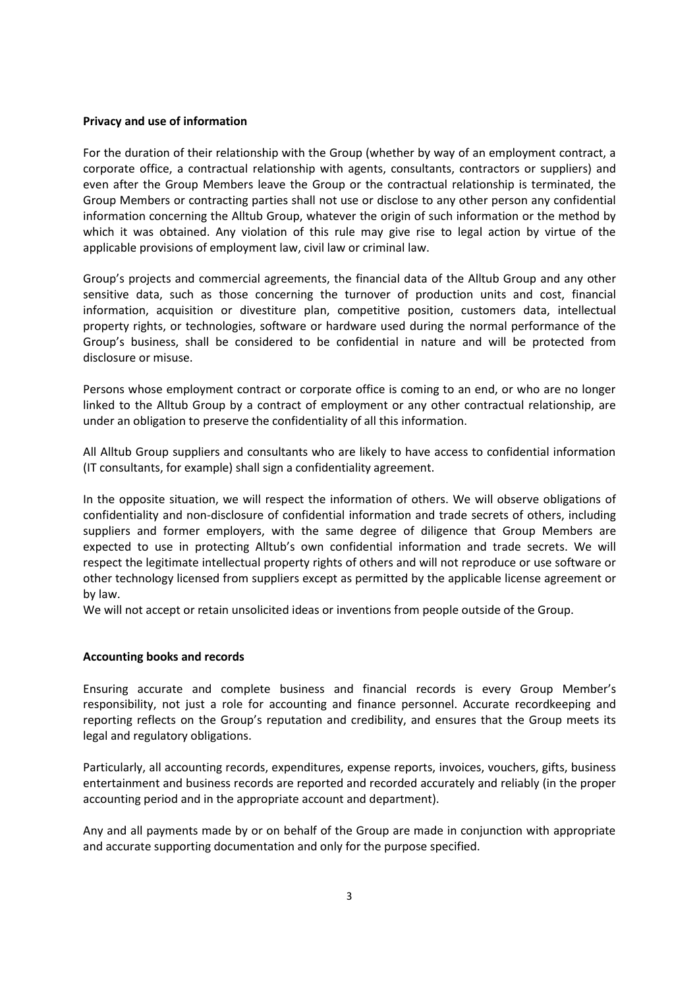#### **Privacy and use of information**

For the duration of their relationship with the Group (whether by way of an employment contract, a corporate office, a contractual relationship with agents, consultants, contractors or suppliers) and even after the Group Members leave the Group or the contractual relationship is terminated, the Group Members or contracting parties shall not use or disclose to any other person any confidential information concerning the Alltub Group, whatever the origin of such information or the method by which it was obtained. Any violation of this rule may give rise to legal action by virtue of the applicable provisions of employment law, civil law or criminal law.

Group's projects and commercial agreements, the financial data of the Alltub Group and any other sensitive data, such as those concerning the turnover of production units and cost, financial information, acquisition or divestiture plan, competitive position, customers data, intellectual property rights, or technologies, software or hardware used during the normal performance of the Group's business, shall be considered to be confidential in nature and will be protected from disclosure or misuse.

Persons whose employment contract or corporate office is coming to an end, or who are no longer linked to the Alltub Group by a contract of employment or any other contractual relationship, are under an obligation to preserve the confidentiality of all this information.

All Alltub Group suppliers and consultants who are likely to have access to confidential information (IT consultants, for example) shall sign a confidentiality agreement.

In the opposite situation, we will respect the information of others. We will observe obligations of confidentiality and non-disclosure of confidential information and trade secrets of others, including suppliers and former employers, with the same degree of diligence that Group Members are expected to use in protecting Alltub's own confidential information and trade secrets. We will respect the legitimate intellectual property rights of others and will not reproduce or use software or other technology licensed from suppliers except as permitted by the applicable license agreement or by law.

We will not accept or retain unsolicited ideas or inventions from people outside of the Group.

## **Accounting books and records**

Ensuring accurate and complete business and financial records is every Group Member's responsibility, not just a role for accounting and finance personnel. Accurate recordkeeping and reporting reflects on the Group's reputation and credibility, and ensures that the Group meets its legal and regulatory obligations.

Particularly, all accounting records, expenditures, expense reports, invoices, vouchers, gifts, business entertainment and business records are reported and recorded accurately and reliably (in the proper accounting period and in the appropriate account and department).

Any and all payments made by or on behalf of the Group are made in conjunction with appropriate and accurate supporting documentation and only for the purpose specified.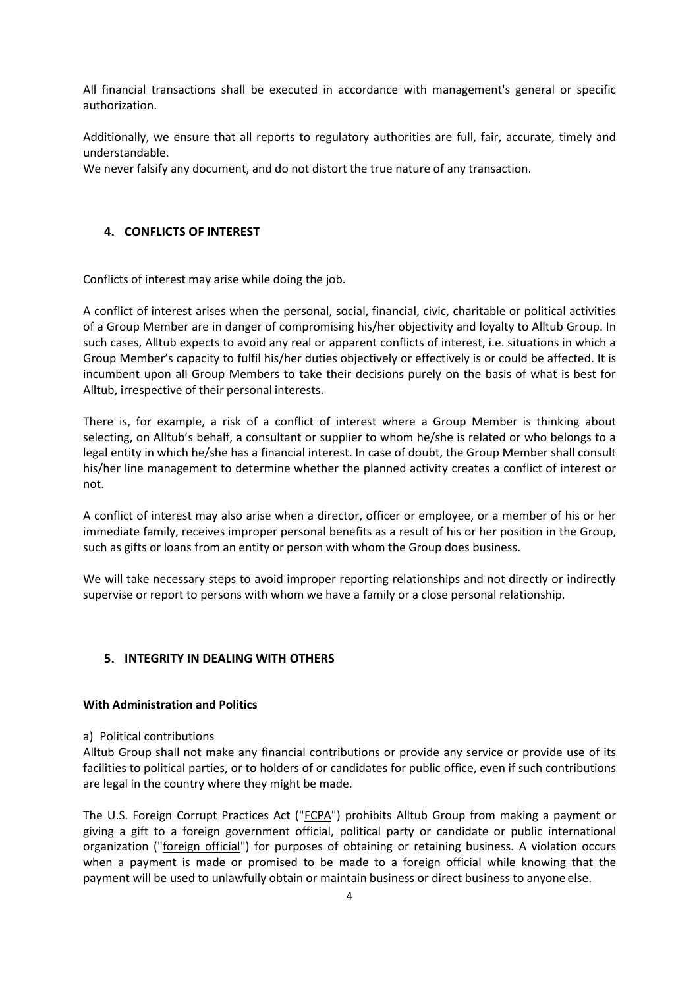All financial transactions shall be executed in accordance with management's general or specific authorization.

Additionally, we ensure that all reports to regulatory authorities are full, fair, accurate, timely and understandable.

We never falsify any document, and do not distort the true nature of any transaction.

## **4. CONFLICTS OF INTEREST**

Conflicts of interest may arise while doing the job.

A conflict of interest arises when the personal, social, financial, civic, charitable or political activities of a Group Member are in danger of compromising his/her objectivity and loyalty to Alltub Group. In such cases, Alltub expects to avoid any real or apparent conflicts of interest, i.e. situations in which a Group Member's capacity to fulfil his/her duties objectively or effectively is or could be affected. It is incumbent upon all Group Members to take their decisions purely on the basis of what is best for Alltub, irrespective of their personal interests.

There is, for example, a risk of a conflict of interest where a Group Member is thinking about selecting, on Alltub's behalf, a consultant or supplier to whom he/she is related or who belongs to a legal entity in which he/she has a financial interest. In case of doubt, the Group Member shall consult his/her line management to determine whether the planned activity creates a conflict of interest or not.

A conflict of interest may also arise when a director, officer or employee, or a member of his or her immediate family, receives improper personal benefits as a result of his or her position in the Group, such as gifts or loans from an entity or person with whom the Group does business.

We will take necessary steps to avoid improper reporting relationships and not directly or indirectly supervise or report to persons with whom we have a family or a close personal relationship.

## **5. INTEGRITY IN DEALING WITH OTHERS**

## **With Administration and Politics**

#### a) Political contributions

Alltub Group shall not make any financial contributions or provide any service or provide use of its facilities to political parties, or to holders of or candidates for public office, even if such contributions are legal in the country where they might be made.

The U.S. Foreign Corrupt Practices Act ("FCPA") prohibits Alltub Group from making a payment or giving a gift to a foreign government official, political party or candidate or public international organization ("foreign official") for purposes of obtaining or retaining business. A violation occurs when a payment is made or promised to be made to a foreign official while knowing that the payment will be used to unlawfully obtain or maintain business or direct business to anyone else.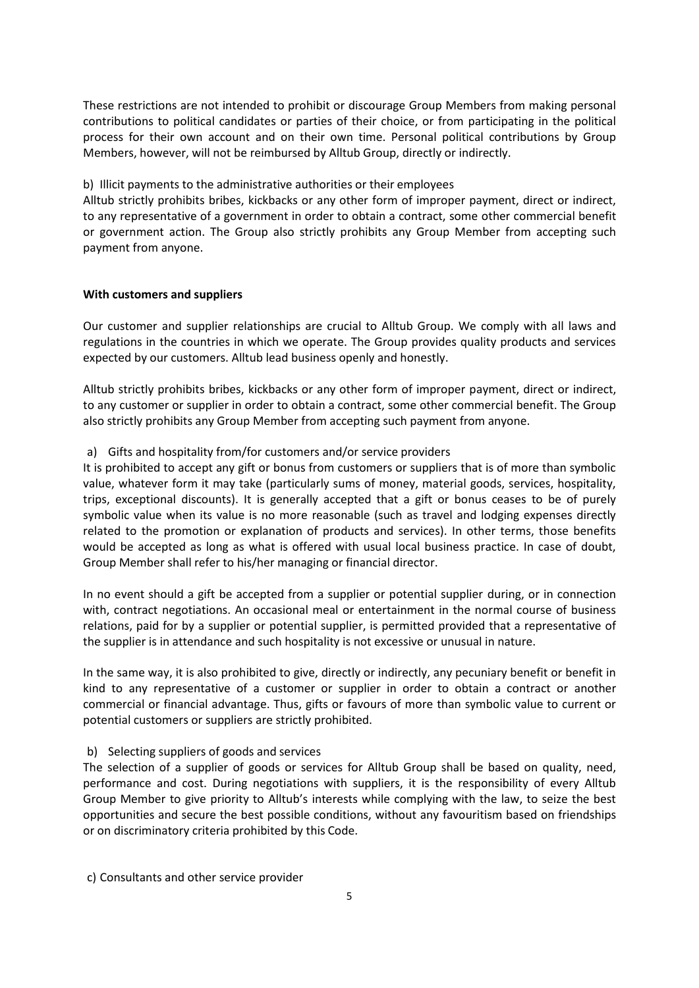These restrictions are not intended to prohibit or discourage Group Members from making personal contributions to political candidates or parties of their choice, or from participating in the political process for their own account and on their own time. Personal political contributions by Group Members, however, will not be reimbursed by Alltub Group, directly or indirectly.

#### b) Illicit payments to the administrative authorities or their employees

Alltub strictly prohibits bribes, kickbacks or any other form of improper payment, direct or indirect, to any representative of a government in order to obtain a contract, some other commercial benefit or government action. The Group also strictly prohibits any Group Member from accepting such payment from anyone.

#### **With customers and suppliers**

Our customer and supplier relationships are crucial to Alltub Group. We comply with all laws and regulations in the countries in which we operate. The Group provides quality products and services expected by our customers. Alltub lead business openly and honestly.

Alltub strictly prohibits bribes, kickbacks or any other form of improper payment, direct or indirect, to any customer or supplier in order to obtain a contract, some other commercial benefit. The Group also strictly prohibits any Group Member from accepting such payment from anyone.

## a) Gifts and hospitality from/for customers and/or service providers

It is prohibited to accept any gift or bonus from customers or suppliers that is of more than symbolic value, whatever form it may take (particularly sums of money, material goods, services, hospitality, trips, exceptional discounts). It is generally accepted that a gift or bonus ceases to be of purely symbolic value when its value is no more reasonable (such as travel and lodging expenses directly related to the promotion or explanation of products and services). In other terms, those benefits would be accepted as long as what is offered with usual local business practice. In case of doubt, Group Member shall refer to his/her managing or financial director.

In no event should a gift be accepted from a supplier or potential supplier during, or in connection with, contract negotiations. An occasional meal or entertainment in the normal course of business relations, paid for by a supplier or potential supplier, is permitted provided that a representative of the supplier is in attendance and such hospitality is not excessive or unusual in nature.

In the same way, it is also prohibited to give, directly or indirectly, any pecuniary benefit or benefit in kind to any representative of a customer or supplier in order to obtain a contract or another commercial or financial advantage. Thus, gifts or favours of more than symbolic value to current or potential customers or suppliers are strictly prohibited.

## b) Selecting suppliers of goods and services

The selection of a supplier of goods or services for Alltub Group shall be based on quality, need, performance and cost. During negotiations with suppliers, it is the responsibility of every Alltub Group Member to give priority to Alltub's interests while complying with the law, to seize the best opportunities and secure the best possible conditions, without any favouritism based on friendships or on discriminatory criteria prohibited by this Code.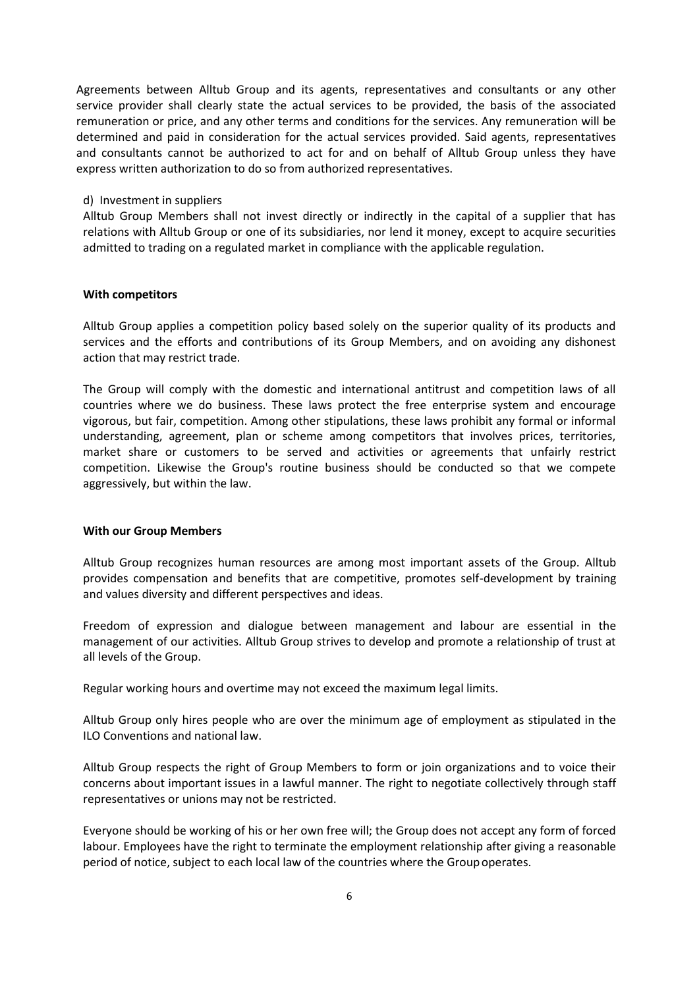Agreements between Alltub Group and its agents, representatives and consultants or any other service provider shall clearly state the actual services to be provided, the basis of the associated remuneration or price, and any other terms and conditions for the services. Any remuneration will be determined and paid in consideration for the actual services provided. Said agents, representatives and consultants cannot be authorized to act for and on behalf of Alltub Group unless they have express written authorization to do so from authorized representatives.

#### d) Investment in suppliers

Alltub Group Members shall not invest directly or indirectly in the capital of a supplier that has relations with Alltub Group or one of its subsidiaries, nor lend it money, except to acquire securities admitted to trading on a regulated market in compliance with the applicable regulation.

#### **With competitors**

Alltub Group applies a competition policy based solely on the superior quality of its products and services and the efforts and contributions of its Group Members, and on avoiding any dishonest action that may restrict trade.

The Group will comply with the domestic and international antitrust and competition laws of all countries where we do business. These laws protect the free enterprise system and encourage vigorous, but fair, competition. Among other stipulations, these laws prohibit any formal or informal understanding, agreement, plan or scheme among competitors that involves prices, territories, market share or customers to be served and activities or agreements that unfairly restrict competition. Likewise the Group's routine business should be conducted so that we compete aggressively, but within the law.

## **With our Group Members**

Alltub Group recognizes human resources are among most important assets of the Group. Alltub provides compensation and benefits that are competitive, promotes self-development by training and values diversity and different perspectives and ideas.

Freedom of expression and dialogue between management and labour are essential in the management of our activities. Alltub Group strives to develop and promote a relationship of trust at all levels of the Group.

Regular working hours and overtime may not exceed the maximum legal limits.

Alltub Group only hires people who are over the minimum age of employment as stipulated in the ILO Conventions and national law.

Alltub Group respects the right of Group Members to form or join organizations and to voice their concerns about important issues in a lawful manner. The right to negotiate collectively through staff representatives or unions may not be restricted.

Everyone should be working of his or her own free will; the Group does not accept any form of forced labour. Employees have the right to terminate the employment relationship after giving a reasonable period of notice, subject to each local law of the countries where the Group operates.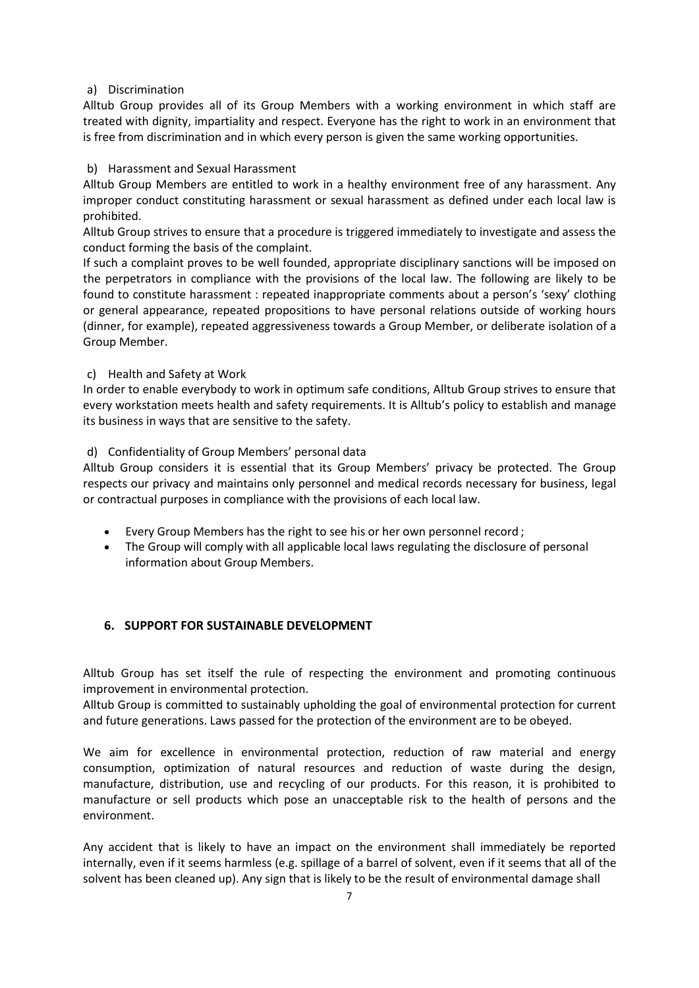## a) Discrimination

Alltub Group provides all of its Group Members with a working environment in which staff are treated with dignity, impartiality and respect. Everyone has the right to work in an environment that is free from discrimination and in which every person is given the same working opportunities.

## b) Harassment and Sexual Harassment

Alltub Group Members are entitled to work in a healthy environment free of any harassment. Any improper conduct constituting harassment or sexual harassment as defined under each local law is prohibited.

Alltub Group strives to ensure that a procedure is triggered immediately to investigate and assess the conduct forming the basis of the complaint.

If such a complaint proves to be well founded, appropriate disciplinary sanctions will be imposed on the perpetrators in compliance with the provisions of the local law. The following are likely to be found to constitute harassment : repeated inappropriate comments about a person's 'sexy' clothing or general appearance, repeated propositions to have personal relations outside of working hours (dinner, for example), repeated aggressiveness towards a Group Member, or deliberate isolation of a Group Member.

## c) Health and Safety at Work

In order to enable everybody to work in optimum safe conditions, Alltub Group strives to ensure that every workstation meets health and safety requirements. It is Alltub's policy to establish and manage its business in ways that are sensitive to the safety.

## d) Confidentiality of Group Members' personal data

Alltub Group considers it is essential that its Group Members' privacy be protected. The Group respects our privacy and maintains only personnel and medical records necessary for business, legal or contractual purposes in compliance with the provisions of each local law.

- Every Group Members has the right to see his or her own personnel record ;
- The Group will comply with all applicable local laws regulating the disclosure of personal information about Group Members.

# **6. SUPPORT FOR SUSTAINABLE DEVELOPMENT**

Alltub Group has set itself the rule of respecting the environment and promoting continuous improvement in environmental protection.

Alltub Group is committed to sustainably upholding the goal of environmental protection for current and future generations. Laws passed for the protection of the environment are to be obeyed.

We aim for excellence in environmental protection, reduction of raw material and energy consumption, optimization of natural resources and reduction of waste during the design, manufacture, distribution, use and recycling of our products. For this reason, it is prohibited to manufacture or sell products which pose an unacceptable risk to the health of persons and the environment.

Any accident that is likely to have an impact on the environment shall immediately be reported internally, even if it seems harmless (e.g. spillage of a barrel of solvent, even if it seems that all of the solvent has been cleaned up). Any sign that is likely to be the result of environmental damage shall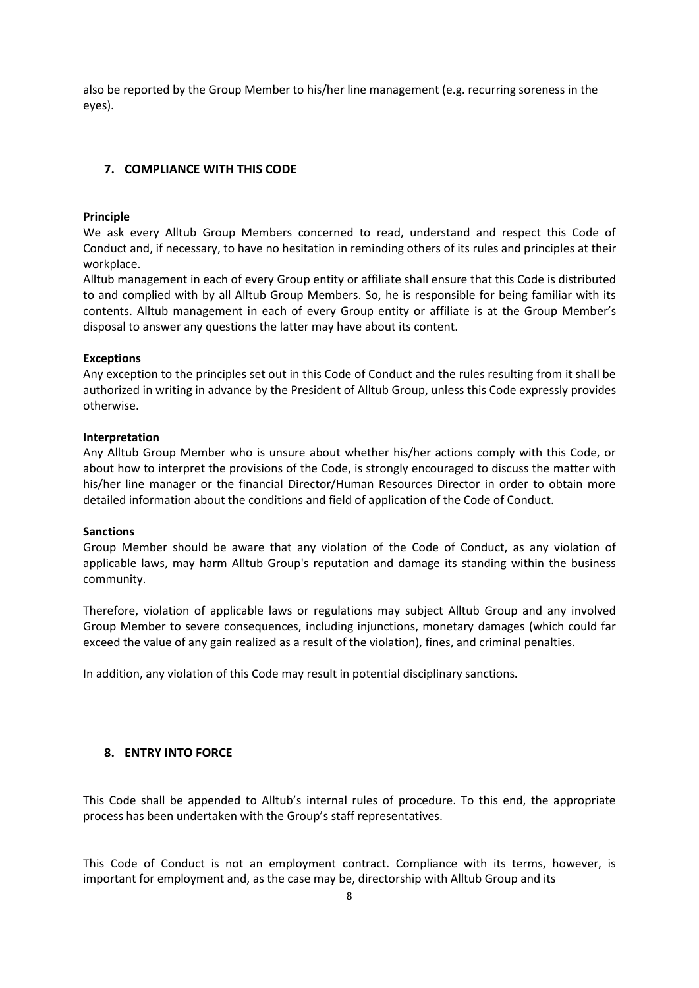also be reported by the Group Member to his/her line management (e.g. recurring soreness in the eyes).

## **7. COMPLIANCE WITH THIS CODE**

#### **Principle**

We ask every Alltub Group Members concerned to read, understand and respect this Code of Conduct and, if necessary, to have no hesitation in reminding others of its rules and principles at their workplace.

Alltub management in each of every Group entity or affiliate shall ensure that this Code is distributed to and complied with by all Alltub Group Members. So, he is responsible for being familiar with its contents. Alltub management in each of every Group entity or affiliate is at the Group Member's disposal to answer any questions the latter may have about its content.

#### **Exceptions**

Any exception to the principles set out in this Code of Conduct and the rules resulting from it shall be authorized in writing in advance by the President of Alltub Group, unless this Code expressly provides otherwise.

#### **Interpretation**

Any Alltub Group Member who is unsure about whether his/her actions comply with this Code, or about how to interpret the provisions of the Code, is strongly encouraged to discuss the matter with his/her line manager or the financial Director/Human Resources Director in order to obtain more detailed information about the conditions and field of application of the Code of Conduct.

#### **Sanctions**

Group Member should be aware that any violation of the Code of Conduct, as any violation of applicable laws, may harm Alltub Group's reputation and damage its standing within the business community.

Therefore, violation of applicable laws or regulations may subject Alltub Group and any involved Group Member to severe consequences, including injunctions, monetary damages (which could far exceed the value of any gain realized as a result of the violation), fines, and criminal penalties.

In addition, any violation of this Code may result in potential disciplinary sanctions.

## **8. ENTRY INTO FORCE**

This Code shall be appended to Alltub's internal rules of procedure. To this end, the appropriate process has been undertaken with the Group's staff representatives.

This Code of Conduct is not an employment contract. Compliance with its terms, however, is important for employment and, as the case may be, directorship with Alltub Group and its